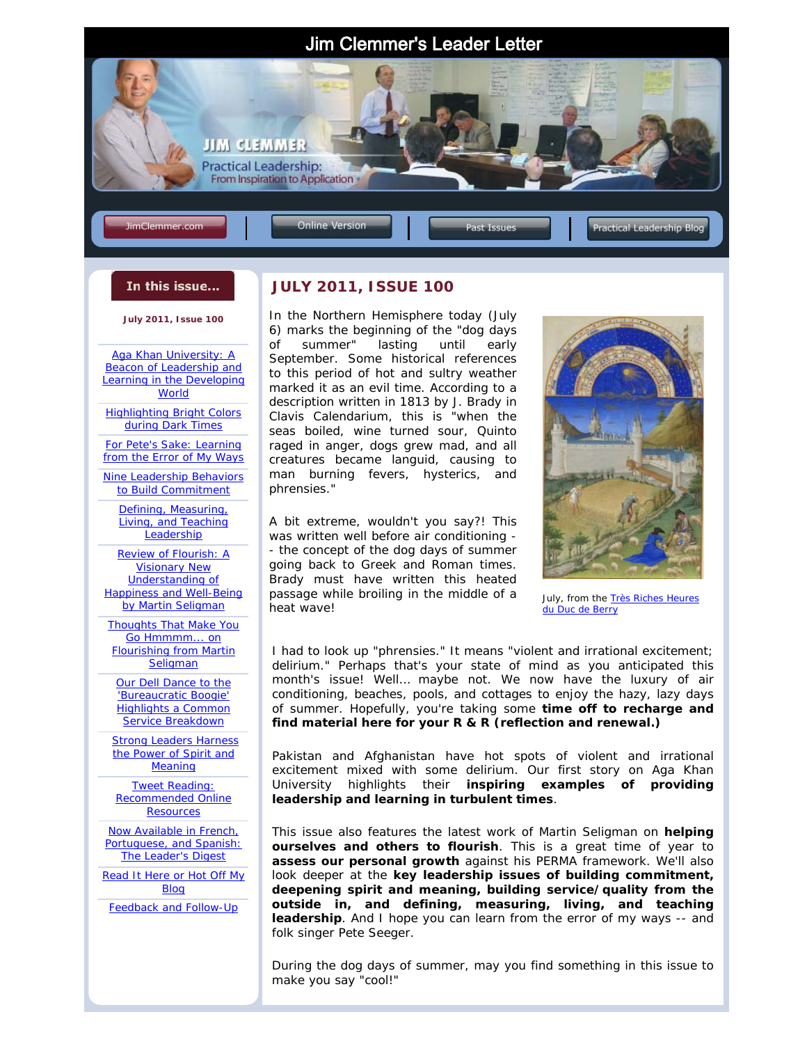

#### In this issue...

**July 2011, Issue 100**

Aga Khan University: A **Beacon of Leadership and** [Learning in the Developing](#page-0-0)  **World** 

[Highlighting Bright Colors](#page-2-0) during Dark Times

For Pete's Sake: Learning [from the Error of My Ways](#page-2-1)

[Nine Leadership Behaviors](#page-3-0)  to Build Commitment

> [Defining, Measuring,](#page-4-0)  Living, and Teaching **Leadership**

Review of *Flourish: A Visionary New Understanding of [Happiness and Well-Being](#page-6-0)* by Martin Seligman

[Thoughts That Make You](#page-7-0)  Go Hmmmm... on *Flourishing* from Martin **Seligman** 

[Our Dell Dance to the](#page-8-0)  'Bureaucratic Boogie' Highlights a Common Service Breakdown

**Strong Leaders Harness** the Power of Spirit and Meaning

Tweet Reading: [Recommended Online](#page-11-0)  **Resources** 

<span id="page-0-0"></span>Now Available in French, [Portuguese, and Spanish:](#page-12-0)  *The Leader's Digest*

Read [It Here or Hot Off My](#page-12-1)  Blog

[Feedback and Follow-Up](#page-12-2)

I

#### **JULY 2011, ISSUE 100**

In the Northern Hemisphere today (July 6) marks the beginning of the "dog days of summer" lasting until early September. Some historical references to this period of hot and sultry weather marked it as an evil time. According to a description written in 1813 by J. Brady in *Clavis Calendarium*, this is *"when the seas boiled, wine turned sour, Quinto raged in anger, dogs grew mad, and all creatures became languid, causing to man burning fevers, hysterics, and phrensies."*

A bit extreme, wouldn't you say?! This was written well before air conditioning - - the concept of the dog days of summer going back to Greek and Roman times. Brady must have written this heated passage while broiling in the middle of a heat wave!



July, from the *[Très Riches Heures](http://en.wikipedia.org/wiki/Tr%C3%A8s_Riches_Heures_du_Duc_de_Berry)  [du Duc de Berry](http://en.wikipedia.org/wiki/Tr%C3%A8s_Riches_Heures_du_Duc_de_Berry)*

I had to look up "phrensies." It means *"violent and irrational excitement; delirium."* Perhaps that's your state of mind as you anticipated this month's issue! Well… maybe not. We now have the luxury of air conditioning, beaches, pools, and cottages to enjoy the hazy, lazy days of summer. Hopefully, you're taking some **time off to recharge and find material here for your R & R (reflection and renewal.)** 

Pakistan and Afghanistan have hot spots of violent and irrational excitement mixed with some delirium. Our first story on Aga Khan University highlights their **inspiring examples of providing leadership and learning in turbulent times**.

This issue also features the latest work of Martin Seligman on **helping ourselves and others to flourish**. This is a great time of year to **assess our personal growth** against his PERMA framework. We'll also look deeper at the **key leadership issues of building commitment, deepening spirit and meaning, building service/quality from the outside in, and defining, measuring, living, and teaching leadership**. And I hope you can learn from the error of my ways -- and folk singer Pete Seeger.

During the dog days of summer, may you find something in this issue to make you say "cool!"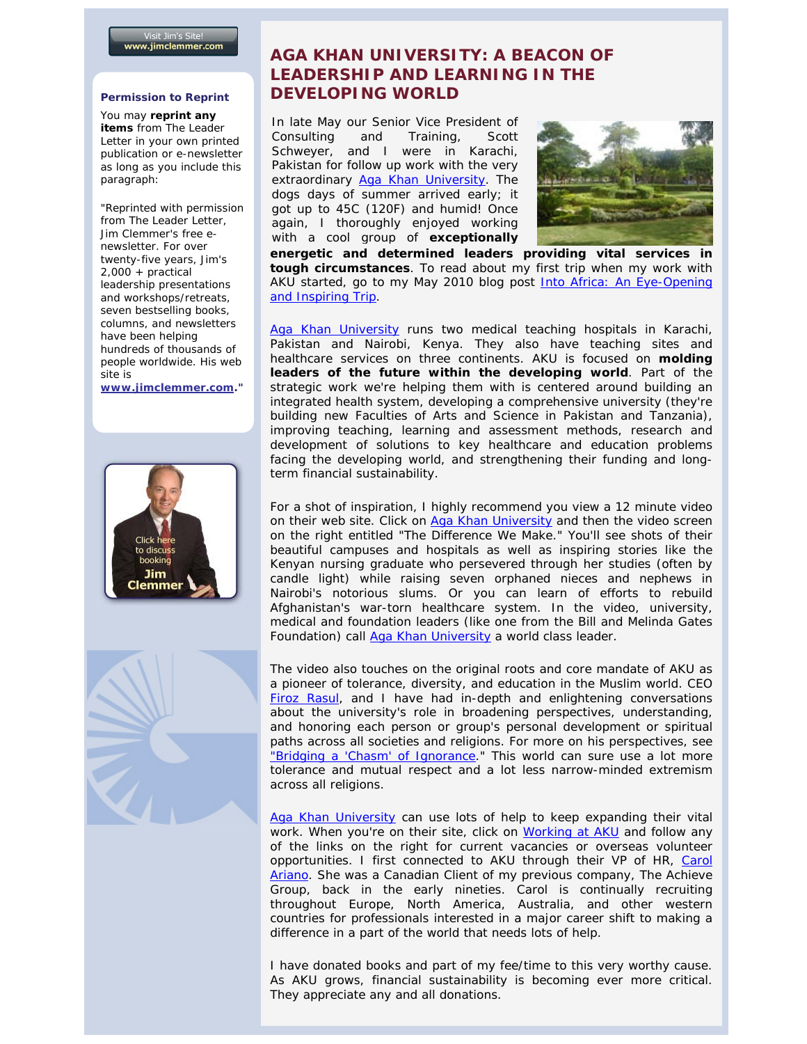#### **Permission to Reprint**

You may **reprint any items** from *The Leader Letter* in your own printed publication or e-newsletter as long as you include this paragraph:

"Reprinted with permission from *The Leader Letter*, Jim Clemmer's free enewsletter. For over twenty-five years, Jim's 2,000 + practical leadership presentations and workshops/retreats, seven bestselling books, columns, and newsletters have been helping hundreds of thousands of people worldwide. His web site is

**[www.jimclemmer.com.](http://www.jimclemmer.com/)"**





# **AGA KHAN UNIVERSITY: A BEACON OF LEADERSHIP AND LEARNING IN THE DEVELOPING WORLD**

In late May our Senior Vice President of Consulting and Training, Scott Schweyer, and I were in Karachi, Pakistan for follow up work with the very extraordinary [Aga Khan University.](http://www.aku.edu/) The dogs days of summer arrived early; it got up to 45C (120F) and humid! Once again, I thoroughly enjoyed working with a cool group of **exceptionally** 



 **energetic and determined leaders providing vital services in tough circumstances**. To read about my first trip when my work with AKU started, go to my May 2010 blog post Into Africa: An Eye-Opening [and Inspiring Trip.](http://www.jimclemmer.com/blog/2010/05/18/into-africa-an-eye-opening-and-inspiring-trip/)

[Aga Khan University](http://www.aku.edu/) runs two medical teaching hospitals in Karachi, Pakistan and Nairobi, Kenya. They also have teaching sites and healthcare services on three continents. AKU is focused on **molding leaders of the future within the developing world**. Part of the strategic work we're helping them with is centered around building an integrated health system, developing a comprehensive university (they're building new Faculties of Arts and Science in Pakistan and Tanzania), improving teaching, learning and assessment methods, research and development of solutions to key healthcare and education problems facing the developing world, and strengthening their funding and longterm financial sustainability.

For a shot of inspiration, I highly recommend you view a 12 minute video on their web site. Click on [Aga Khan University](http://www.aku.edu/) and then the video screen on the right entitled "*The Difference We Make."* You'll see shots of their beautiful campuses and hospitals as well as inspiring stories like the Kenyan nursing graduate who persevered through her studies (often by candle light) while raising seven orphaned nieces and nephews in Nairobi's notorious slums. Or you can learn of efforts to rebuild Afghanistan's war-torn healthcare system. In the video, university, medical and foundation leaders (like one from the Bill and Melinda Gates Foundation) call [Aga Khan University](http://www.aku.edu/) a world class leader.

The video also touches on the original roots and core mandate of AKU as a pioneer of tolerance, diversity, and education in the Muslim world. CEO [Firoz Rasul,](http://www.aku.edu/university/aboutus/key-officers-president.shtml) and I have had in-depth and enlightening conversations about the university's role in broadening perspectives, understanding, and honoring each person or group's personal development or spiritual paths across all societies and religions. For more on his perspectives, see ["Bridging a 'Chasm' of Ignorance.](http://www.aku.edu/News/article-fr07.pdf)" This world can sure use a lot more tolerance and mutual respect and a lot less narrow-minded extremism across all religions.

[Aga Khan University](http://www.aku.edu/) can use lots of help to keep expanding their vital work. When you're on their site, click on [Working at AKU](http://www.aku.edu/job/career/index.shtml) and follow any of the links on the right for current vacancies or overseas volunteer opportunities. I first connected to AKU through their VP of HR, Carol [Ariano.](http://www.aku.edu/university/aboutus/key-officers-vphr.shtml) She was a Canadian Client of my previous company, The Achieve Group, back in the early nineties. Carol is continually recruiting throughout Europe, North America, Australia, and other western countries for professionals interested in a major career shift to making a difference in a part of the world that needs lots of help.

I have donated books and part of my fee/time to this very worthy cause. As AKU grows, financial sustainability is becoming ever more critical. They appreciate any and all donations.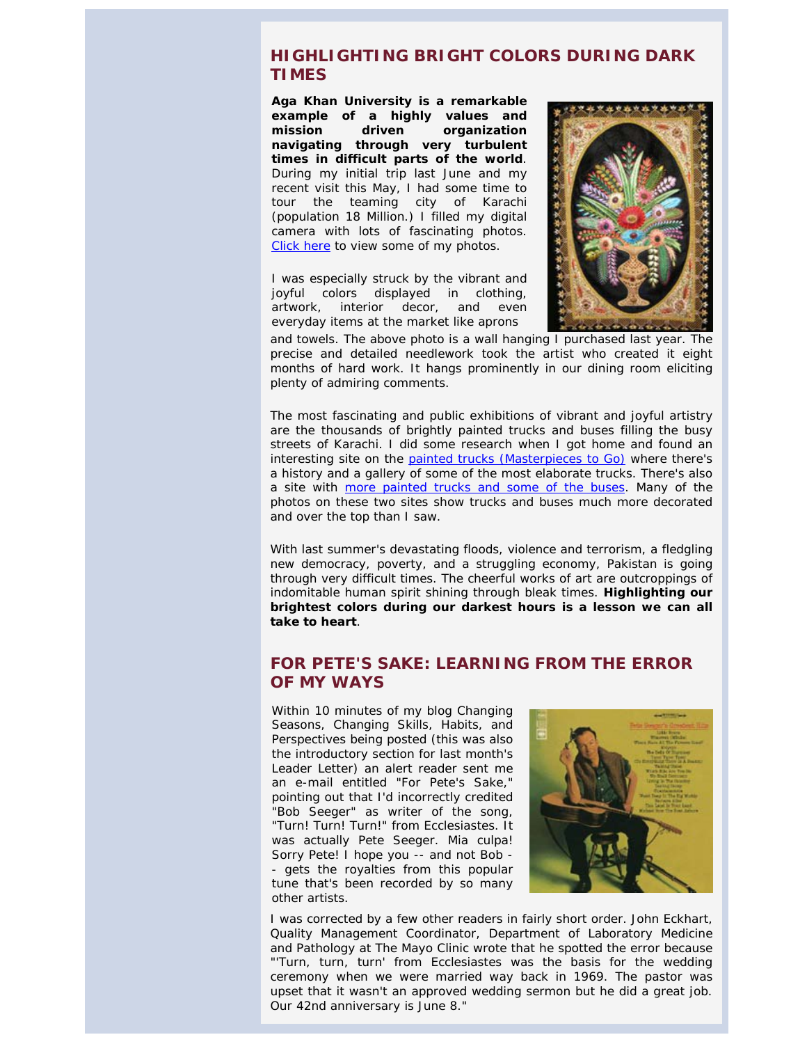## <span id="page-2-0"></span>**HIGHLIGHTING BRIGHT COLORS DURING DARK TIMES**

**Aga Khan University is a remarkable example of a highly values and mission driven organization navigating through very turbulent times in difficult parts of the world**. During my initial trip last June and my recent visit this May, I had some time to tour the teaming city of Karachi (population 18 Million.) I filled my digital camera with lots of fascinating photos. [Click here](http://www.facebook.com/media/set/?set=a.10150288610245281.380393.21266500280) to view some of my photos.

I was especially struck by the vibrant and joyful colors displayed in clothing, artwork, interior decor, and even everyday items at the market like aprons



and towels. The above photo is a wall hanging I purchased last year. The precise and detailed needlework took the artist who created it eight months of hard work. It hangs prominently in our dining room eliciting plenty of admiring comments.

<span id="page-2-1"></span>The most fascinating and public exhibitions of vibrant and joyful artistry are the thousands of brightly painted trucks and buses filling the busy streets of Karachi. I did some research when I got home and found an interesting site on the [painted trucks \(Masterpieces to Go\)](http://www.saudiaramcoworld.com/issue/200502/masterpieces.to.go.the.trucks.of.pakistan.htm) where there's a history and a gallery of some of the most elaborate trucks. There's also a site with [more painted trucks and some of the buses.](http://www.skyscrapercity.com/showthread.php?t=453999) Many of the photos on these two sites show trucks and buses much more decorated and over the top than I saw.

With last summer's devastating floods, violence and terrorism, a fledgling new democracy, poverty, and a struggling economy, Pakistan is going through very difficult times. The cheerful works of art are outcroppings of indomitable human spirit shining through bleak times. **Highlighting our brightest colors during our darkest hours is a lesson we can all take to heart**.

## **FOR PETE'S SAKE: LEARNING FROM THE ERROR OF MY WAYS**

Within 10 minutes of my blog *[Changing](http://www.jimclemmer.com/blog/2011/05/31/changing-seasons-changing-skills-habits-and-perspectives/)  [Seasons, Changing Skills, Habits, and](http://www.jimclemmer.com/blog/2011/05/31/changing-seasons-changing-skills-habits-and-perspectives/)  [Perspectives](http://www.jimclemmer.com/blog/2011/05/31/changing-seasons-changing-skills-habits-and-perspectives/)* being posted (this was also the introductory section for last month's *Leader Letter*) an alert reader sent me an e-mail entitled "For Pete's Sake," pointing out that I'd incorrectly credited "Bob Seeger" as writer of the song, "Turn! Turn! Turn!" from Ecclesiastes. It was actually Pete Seeger. Mia culpa! Sorry Pete! I hope you -- and not Bob - - gets the royalties from this popular tune that's been recorded by so many other artists.



I was corrected by a few other readers in fairly short order. John Eckhart, Quality Management Coordinator, Department of Laboratory Medicine and Pathology at The Mayo Clinic wrote that he spotted the error because *"'Turn, turn, turn' from Ecclesiastes was the basis for the wedding ceremony when we were married way back in 1969. The pastor was upset that it wasn't an approved wedding sermon but he did a great job. Our 42nd anniversary is June 8."*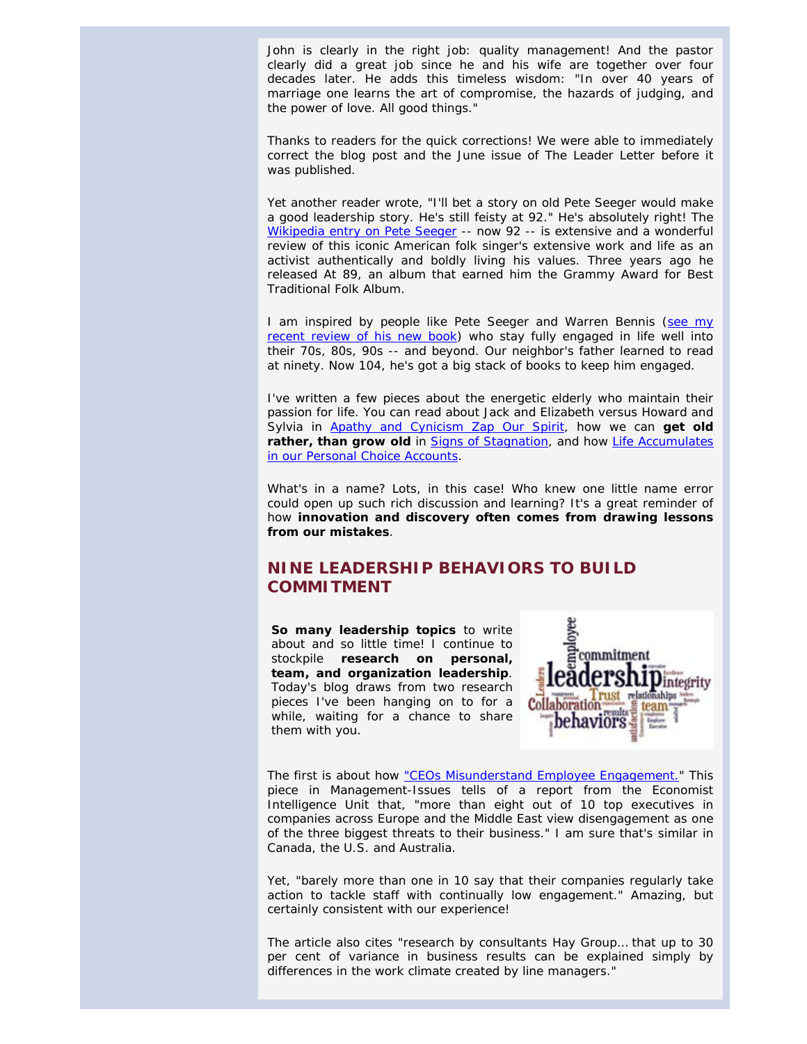John is clearly in the right job: quality management! And the pastor clearly did a great job since he and his wife are together over four decades later. He adds this timeless wisdom: *"In over 40 years of marriage one learns the art of compromise, the hazards of judging, and the power of love. All good things."*

Thanks to readers for the quick corrections! We were able to immediately correct the blog post and the June issue of *The Leader Letter* before it was published.

Yet another reader wrote, *"I'll bet a story on old Pete Seeger would make a good leadership story. He's still feisty at 92."* He's absolutely right! The [Wikipedia entry on Pete Seeger](http://en.wikipedia.org/wiki/Pete_Seeger) -- now 92 -- is extensive and a wonderful review of this iconic American folk singer's extensive work and life as an activist authentically and boldly living his values. Three years ago he released *At 89,* an album that earned him the Grammy Award for Best Traditional Folk Album.

I am inspired by people like Pete Seeger and Warren Bennis [\(see my](http://www.jimclemmer.com/blog/2011/05/17/review-of-still-surprised-a-memoir-of-a-life-in-leadership-by-warren-bennis/)  [recent review of his new book\)](http://www.jimclemmer.com/blog/2011/05/17/review-of-still-surprised-a-memoir-of-a-life-in-leadership-by-warren-bennis/) who stay fully engaged in life well into their 70s, 80s, 90s -- and beyond. Our neighbor's father learned to read at ninety. Now 104, he's got a big stack of books to keep him engaged.

<span id="page-3-0"></span>I've written a few pieces about the energetic elderly who maintain their passion for life. You can read about Jack and Elizabeth versus Howard and Sylvia in [Apathy and Cynicism Zap Our Spirit,](http://www.jimclemmer.com/apathy-and-cynicism-zap-our-spirit.php) how we can **get old rather, than grow old** in [Signs of Stagnation,](http://www.jimclemmer.com/signs-of-stagnation.php) and how [Life Accumulates](http://www.jimclemmer.com/life-accumulates-in-our-personal-choice-accounts.php)  [in our Personal Choice Accounts.](http://www.jimclemmer.com/life-accumulates-in-our-personal-choice-accounts.php)

What's in a name? Lots, in this case! Who knew one little name error could open up such rich discussion and learning? It's a great reminder of how **innovation and discovery often comes from drawing lessons from our mistakes**.

# **NINE LEADERSHIP BEHAVIORS TO BUILD COMMITMENT**

**So many leadership topics** to write about and so little time! I continue to stockpile **research on personal, team, and organization leadership**. Today's blog draws from two research pieces I've been hanging on to for a while, waiting for a chance to share them with you.



The first is about how ["CEOs Misunderstand Employee Engagement."](http://www.management-issues.com/2010/12/7/research/ceos-misunderstand-employee-engagement.asp) This piece in *Management-Issues* tells of a report from the Economist Intelligence Unit that, *"more than eight out of 10 top executives in companies across Europe and the Middle East view disengagement as one of the three biggest threats to their business."* I am sure that's similar in Canada, the U.S. and Australia.

Yet, *"barely more than one in 10 say that their companies regularly take action to tackle staff with continually low engagement."* Amazing, but certainly consistent with our experience!

The article also cites *"research by consultants Hay Group… that up to 30 per cent of variance in business results can be explained simply by differences in the work climate created by line managers."*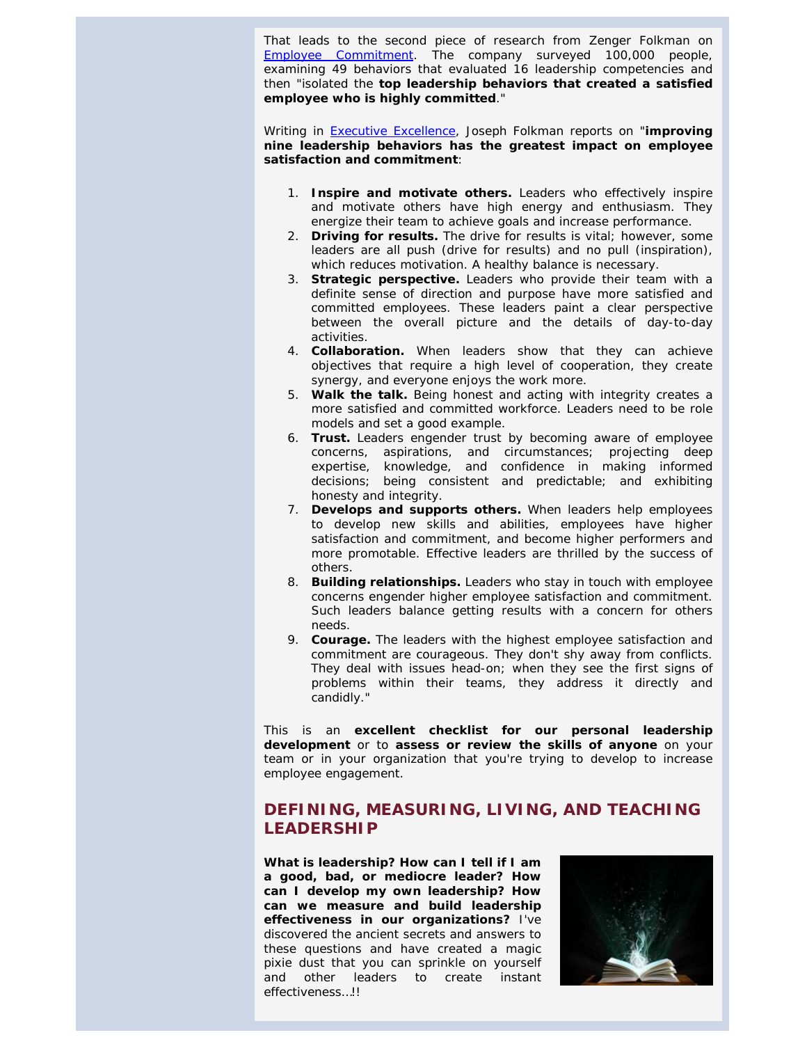That leads to the second piece of research from Zenger Folkman on *[Employee Commitment](http://www.eep2.com/dle9632157/le1210.pdf)*. The company surveyed 100,000 people, examining 49 behaviors that evaluated 16 leadership competencies and then *"isolated the top leadership behaviors that created a satisfied employee who is highly committed."*

Writing in *[Executive Excellence](http://www.leaderexcel.com/)*, Joseph Folkman reports on "**improving nine leadership behaviors has the greatest impact on employee satisfaction and commitment**:

- 1. **Inspire and motivate others.** Leaders who effectively inspire and motivate others have high energy and enthusiasm. They energize their team to achieve goals and increase performance.
- 2. **Driving for results.** The drive for results is vital; however, some leaders are all push (drive for results) and no pull (inspiration), which reduces motivation. A healthy balance is necessary.
- 3. **Strategic perspective.** Leaders who provide their team with a definite sense of direction and purpose have more satisfied and committed employees. These leaders paint a clear perspective between the overall picture and the details of day-to-day activities.
- 4. **Collaboration.** When leaders show that they can achieve objectives that require a high level of cooperation, they create synergy, and everyone enjoys the work more.
- 5. **Walk the talk.** Being honest and acting with integrity creates a more satisfied and committed workforce. Leaders need to be role models and set a good example.
- 6. **Trust.** Leaders engender trust by becoming aware of employee concerns, aspirations, and circumstances; projecting deep expertise, knowledge, and confidence in making informed decisions; being consistent and predictable; and exhibiting honesty and integrity.
- 7. **Develops and supports others.** When leaders help employees to develop new skills and abilities, employees have higher satisfaction and commitment, and become higher performers and more promotable. Effective leaders are thrilled by the success of others.
- 8. **Building relationships.** Leaders who stay in touch with employee concerns engender higher employee satisfaction and commitment. Such leaders balance getting results with a concern for others needs.
- 9. **Courage.** The leaders with the highest employee satisfaction and commitment are courageous. They don't shy away from conflicts. They deal with issues head-on; when they see the first signs of problems within their teams, they address it directly and candidly."

<span id="page-4-0"></span>This is an **excellent checklist for our personal leadership development** or to **assess or review the skills of anyone** on your team or in your organization that you're trying to develop to increase employee engagement.

# **DEFINING, MEASURING, LIVING, AND TEACHING LEADERSHIP**

**What is leadership? How can I tell if I am a good, bad, or mediocre leader? How can I develop my own leadership? How can we measure and build leadership effectiveness in our organizations?** I've discovered the ancient secrets and answers to these questions and have created a magic pixie dust that you can sprinkle on yourself and other leaders to create instant effectiveness…!!

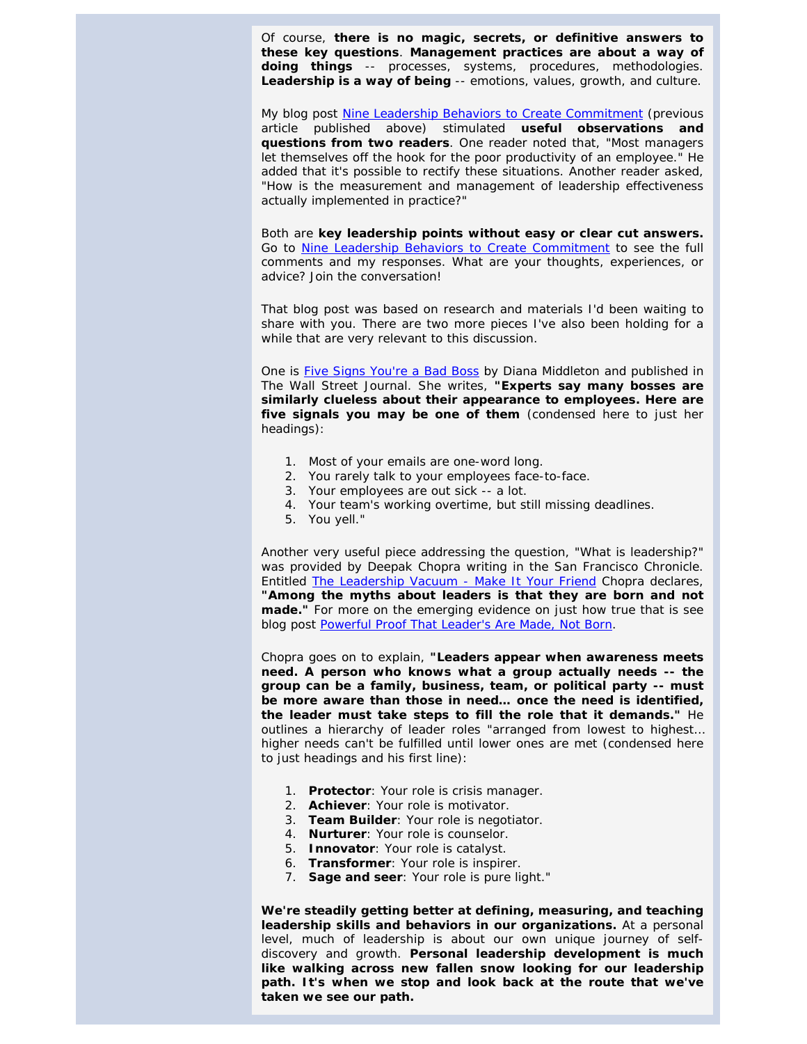Of course, **there is no magic, secrets, or definitive answers to these key questions**. **Management practices are about a way of doing things** -- processes, systems, procedures, methodologies. **Leadership is a way of being** -- emotions, values, growth, and culture.

My blog post [Nine Leadership Behaviors to Create Commitment](http://www.jimclemmer.com/blog/2011/06/14/nine-leadership-behaviors-to-build-commitment/) (previous article published above) stimulated **useful observations and questions from two readers**. One reader noted that, *"Most managers let themselves off the hook for the poor productivity of an employee."* He added that it's possible to rectify these situations. Another reader asked, *"How is the measurement and management of leadership effectiveness actually implemented in practice?"*

Both are **key leadership points without easy or clear cut answers.** Go to [Nine Leadership Behaviors to Create Commitment](http://www.jimclemmer.com/blog/2011/06/14/nine-leadership-behaviors-to-build-commitment/) to see the full comments and my responses. What are your thoughts, experiences, or advice? Join the conversation!

That blog post was based on research and materials I'd been waiting to share with you. There are two more pieces I've also been holding for a while that are very relevant to this discussion.

One is [Five Signs You're a Bad Boss](http://online.wsj.com/article/SB10001424052748703786804576138141599946476.html?mod=dist_smartbrief&utm_source=The+Roundtable+Recap&utm_campaign=e6ccfde0bb-FINAL_Roundtable_Recap_Volume_38_February_2011&utm_medium=email#articleTabs=article) by Diana Middleton and published in *The Wall Street Journal.* She writes, *"Experts say many bosses are similarly clueless about their appearance to employees. Here are five signals you may be one of them* (condensed here to just her headings):

- 1. Most of your emails are one-word long.
- 2. You rarely talk to your employees face-to-face.
- 3. Your employees are out sick -- a lot.
- 4. Your team's working overtime, but still missing deadlines.
- 5. You yell."

Another very useful piece addressing the question, "What is leadership?" was provided by Deepak Chopra writing in the *San Francisco Chronicle*. Entitled [The Leadership Vacuum -](http://www.sfgate.com/cgi-bin/article.cgi?f=/g/a/2010/12/27/deepak_chopra_leadership.DTL&ao=2) Make It Your Friend Chopra declares, *"Among the myths about leaders is that they are born and not made."* For more on the emerging evidence on just how true that is see blog post [Powerful Proof That Leader's Are Made, Not Born.](http://www.jimclemmer.com/newsletter/?p=501)

Chopra goes on to explain, **"Leaders appear when awareness meets need. A person who knows what a group actually needs -- the group can be a family, business, team, or political party -- must be more aware than those in need… once the need is identified, the leader must take steps to fill the role that it demands."** He outlines a hierarchy of leader roles "arranged from lowest to highest… higher needs can't be fulfilled until lower ones are met (condensed here to just headings and his first line)*:*

- 1. **Protector**: Your role is crisis manager.
- 2. **Achiever**: Your role is motivator.
- 3. **Team Builder**: Your role is negotiator.
- 4. **Nurturer**: Your role is counselor.
- 5. **Innovator**: Your role is catalyst.
- 6. **Transformer**: Your role is inspirer.
- 7. **Sage and seer**: Your role is pure light."

**We're steadily getting better at defining, measuring, and teaching leadership skills and behaviors in our organizations.** At a personal level, much of leadership is about our own unique journey of selfdiscovery and growth. **Personal leadership development is much like walking across new fallen snow looking for our leadership path. It's when we stop and look back at the route that we've taken we see our path.**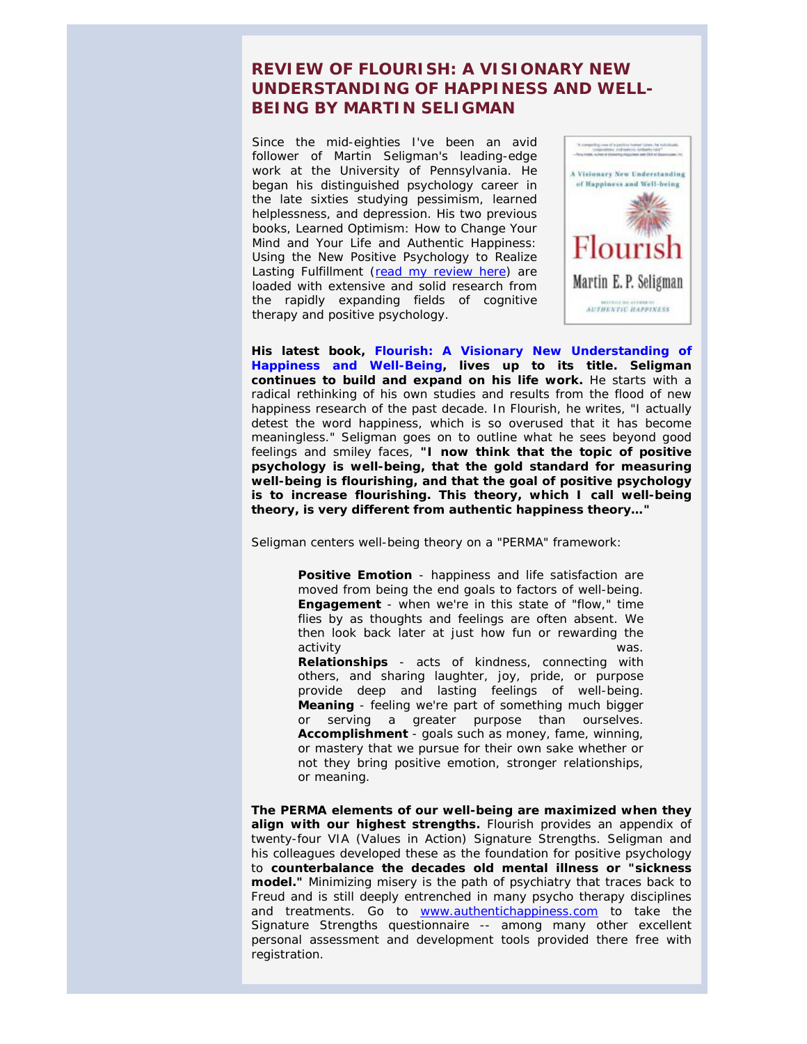# <span id="page-6-0"></span>**REVIEW OF** *FLOURISH: A VISIONARY NEW UNDERSTANDING OF HAPPINESS AND WELL-BEING* **BY MARTIN SELIGMAN**

Since the mid-eighties I've been an avid follower of Martin Seligman's leading-edge work at the University of Pennsylvania. He began his distinguished psychology career in the late sixties studying pessimism, learned helplessness, and depression. His two previous books, *[Learned Optimism: How to Change Your](http://www.amazon.com/Learned-Optimism-Change-Your-Mind/dp/1400078393/ref=sr_1_1?s=books&ie=UTF8&qid=1307817526&sr=1-1)  [Mind and Your Life](http://www.amazon.com/Learned-Optimism-Change-Your-Mind/dp/1400078393/ref=sr_1_1?s=books&ie=UTF8&qid=1307817526&sr=1-1)* and *[Authentic Happiness:](http://www.amazon.com/s/ref=nb_sb_ss_i_1_38?url=search-alias%3Dstripbooks&field-keywords=authentic+happiness+by+martin+seligman&sprefix=authentic+happiness+by+martin+seligman)  [Using the New Positive Psychology to Realize](http://www.amazon.com/s/ref=nb_sb_ss_i_1_38?url=search-alias%3Dstripbooks&field-keywords=authentic+happiness+by+martin+seligman&sprefix=authentic+happiness+by+martin+seligman)  [Lasting Fulfillment](http://www.amazon.com/s/ref=nb_sb_ss_i_1_38?url=search-alias%3Dstripbooks&field-keywords=authentic+happiness+by+martin+seligman&sprefix=authentic+happiness+by+martin+seligman)* [\(read my review here\)](http://www.jimclemmer.com/newsl/july2003.html#review) are loaded with extensive and solid research from the rapidly expanding fields of cognitive therapy and positive psychology.



**His latest book,** *[Flourish: A Visionary New Understanding of](http://www.amazon.com/Flourish-Visionary-Understanding-Happiness-Well-being/dp/1439190755/ref=sr_1_1?ie=UTF8&s=books&qid=1307818821&sr=8-1)  [Happiness and Well-Being,](http://www.amazon.com/Flourish-Visionary-Understanding-Happiness-Well-being/dp/1439190755/ref=sr_1_1?ie=UTF8&s=books&qid=1307818821&sr=8-1)* **lives up to its title. Seligman continues to build and expand on his life work.** He starts with a radical rethinking of his own studies and results from the flood of new happiness research of the past decade. In *Flourish*, he writes, "I actually detest the word happiness, which is so overused that it has become meaningless." Seligman goes on to outline what he sees beyond good feelings and smiley faces, **"I now think that the topic of positive psychology is well-being, that the gold standard for measuring well-being is flourishing, and that the goal of positive psychology is to increase flourishing. This theory, which I call well-being theory, is very different from authentic happiness theory…"**

Seligman centers well-being theory on a "PERMA" framework:

**Relationships** - acts of kindness, connecting with others, and sharing laughter, joy, pride, or purpose provide deep and lasting feelings of well-being. Accomplishment - goals such as money, fame, winning, or mastery that we pursue for their own sake whether or not they bring positive emotion, stronger relationships, or meaning. **Over the past four years she past four years she wears she wears she wears she wears she wears she Positive Emotion** - happiness and life satisfaction are moved from being the end goals to factors of well-being. **Engagement** - when we're in this state of "flow," time flies by as thoughts and feelings are often absent. We then look back later at just how fun or rewarding the activity was. **Meaning** - feeling we're part of something much bigger or serving a greater purpose than ourselves.

The PERMA elements of our well-being are maximized when they align with our highest strengths. Flourish provides an appendix of twenty-four VIA (Values in Action) Signature Strengths. Seligman and his colleagues developed these as the foundation for positive psychology to counterbalance the decades old mental illness or "sickness **model."** Minimizing misery is the path of psychiatry that traces back to Freud and is still deeply entrenched in many psycho therapy disciplines and treatments. Go to [www.authentichappiness.com](http://www.authentichappiness.com/) to take the Signature Strengths questionnaire -- among many other excellent personal assessment and development tools provided there free with registration.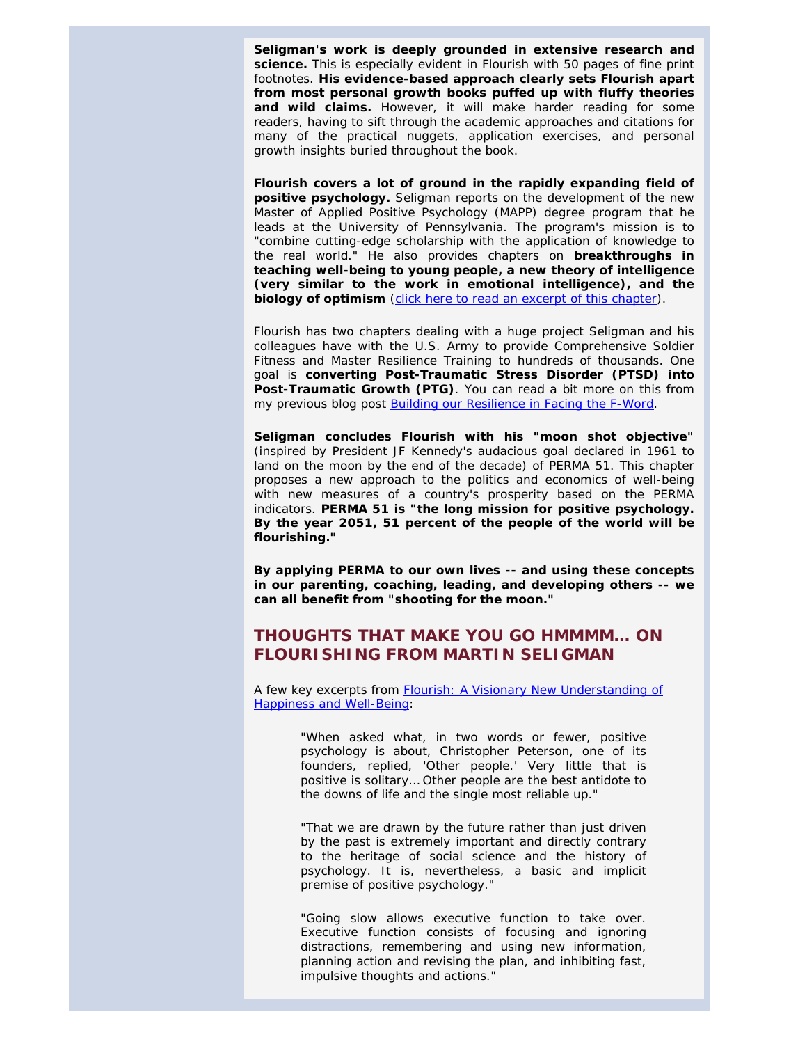**Seligman's work is deeply grounded in extensive research and science.** This is especially evident in *Flourish* with 50 pages of fine print footnotes. **His evidence-based approach clearly sets** *Flourish* **apart from most personal growth books puffed up with fluffy theories and wild claims.** However, it will make harder reading for some readers, having to sift through the academic approaches and citations for many of the practical nuggets, application exercises, and personal growth insights buried throughout the book.

*Flourish* **covers a lot of ground in the rapidly expanding field of positive psychology.** Seligman reports on the development of the new Master of Applied Positive Psychology (MAPP) degree program that he leads at the University of Pennsylvania. The program's mission is to *"combine cutting-edge scholarship with the application of knowledge to the real world."* He also provides chapters on **breakthroughs in teaching well-being to young people, a new theory of intelligence (very similar to the work in emotional intelligence), and the biology of optimism** [\(click here to read an excerpt of this chapter\)](http://app.simplycast.com/email_view.php?group_idno=5778484&outgoing_idno=5842970&email_idno=186643).

*Flourish* has two chapters dealing with a huge project Seligman and his colleagues have with the U.S. Army to provide Comprehensive Soldier Fitness and Master Resilience Training to hundreds of thousands. One goal is **converting Post-Traumatic Stress Disorder (PTSD) into Post-Traumatic Growth (PTG)**. You can read a bit more on this from my previous blog post [Building our Resilience in Facing the F-Word.](http://www.jimclemmer.com/blog/2011/04/28/building-our-resilience-in-facing-the-f-word/)

<span id="page-7-0"></span>**Seligman concludes** *Flourish* **with his "moon shot objective"** (inspired by President JF Kennedy's audacious goal declared in 1961 to land on the moon by the end of the decade) of PERMA 51. This chapter proposes a new approach to the politics and economics of well-being with new measures of a country's prosperity based on the PERMA indicators. **PERMA 51 is "the long mission for positive psychology. By the year 2051, 51 percent of the people of the world will be flourishing."**

**By applying PERMA to our own lives -- and using these concepts in our parenting, coaching, leading, and developing others -- we can all benefit from "shooting for the moon."**

## **THOUGHTS THAT MAKE YOU GO HMMMM… ON**  *FLOURISHING* **FROM MARTIN SELIGMAN**

A few key excerpts from *[Flourish: A Visionary New Understanding of](http://www.amazon.com/Flourish-Visionary-Understanding-Happiness-Well-being/dp/1439190755/ref=sr_1_1?ie=UTF8&s=books&qid=1307818821&sr=8-1)  [Happiness and Well-Being](http://www.amazon.com/Flourish-Visionary-Understanding-Happiness-Well-being/dp/1439190755/ref=sr_1_1?ie=UTF8&s=books&qid=1307818821&sr=8-1)*:

> "When asked what, in two words or fewer, positive psychology is about, Christopher Peterson, one of its founders, replied, 'Other people.' Very little that is positive is solitary… Other people are the best antidote to the downs of life and the single most reliable up."

> "That we are drawn by the future rather than just driven by the past is extremely important and directly contrary to the heritage of social science and the history of psychology. It is, nevertheless, a basic and implicit premise of positive psychology."

> "Going slow allows executive function to take over. Executive function consists of focusing and ignoring distractions, remembering and using new information, planning action and revising the plan, and inhibiting fast, impulsive thoughts and actions."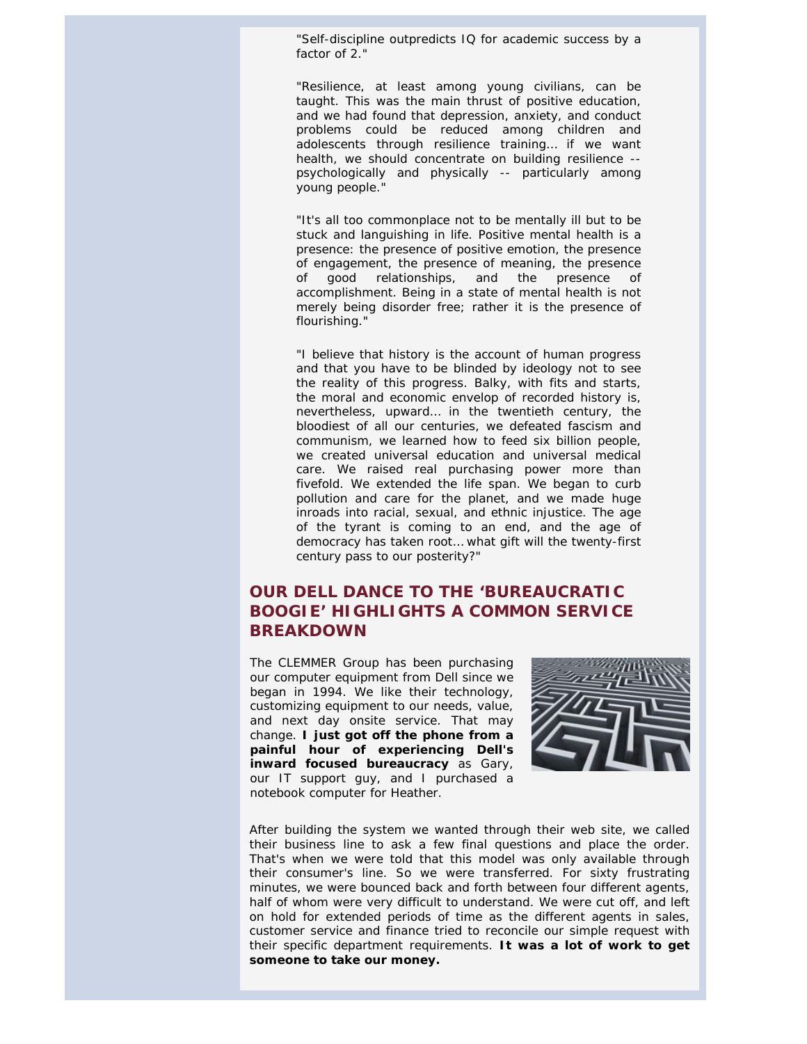"Self-discipline outpredicts IQ for academic success by a factor of 2."

"Resilience, at least among young civilians, can be taught. This was the main thrust of positive education, and we had found that depression, anxiety, and conduct problems could be reduced among children and adolescents through resilience training… if we want health, we should concentrate on building resilience - psychologically and physically -- particularly among young people."

"It's all too commonplace not to be mentally ill but to be stuck and languishing in life. Positive mental health is a presence: the presence of positive emotion, the presence of engagement, the presence of meaning, the presence of good relationships, and the presence of accomplishment. Being in a state of mental health is not merely being disorder free; rather it is the presence of flourishing."

"I believe that history is the account of human progress and that you have to be blinded by ideology not to see the reality of this progress. Balky, with fits and starts, the moral and economic envelop of recorded history is, nevertheless, upward… in the twentieth century, the bloodiest of all our centuries, we defeated fascism and communism, we learned how to feed six billion people, we created universal education and universal medical care. We raised real purchasing power more than fivefold. We extended the life span. We began to curb pollution and care for the planet, and we made huge inroads into racial, sexual, and ethnic injustice. The age of the tyrant is coming to an end, and the age of democracy has taken root… what gift will the twenty-first century pass to our posterity?"

# <span id="page-8-0"></span>**OUR DELL DANCE TO THE 'BUREAUCRATIC BOOGIE' HIGHLIGHTS A COMMON SERVICE BREAKDOWN**

The CLEMMER Group has been purchasing our computer equipment from Dell since we began in 1994. We like their technology, customizing equipment to our needs, value, and next day onsite service. That may change. **I just got off the phone from a painful hour of experiencing Dell's inward focused bureaucracy** as Gary, our IT support guy, and I purchased a notebook computer for Heather.



After building the system we wanted through their web site, we called their business line to ask a few final questions and place the order. That's when we were told that this model was only available through their consumer's line. So we were transferred. For sixty frustrating minutes, we were bounced back and forth between four different agents, half of whom were very difficult to understand. We were cut off, and left on hold for extended periods of time as the different agents in sales, customer service and finance tried to reconcile our simple request with their specific department requirements. **It was a lot of work to get someone to take our money.**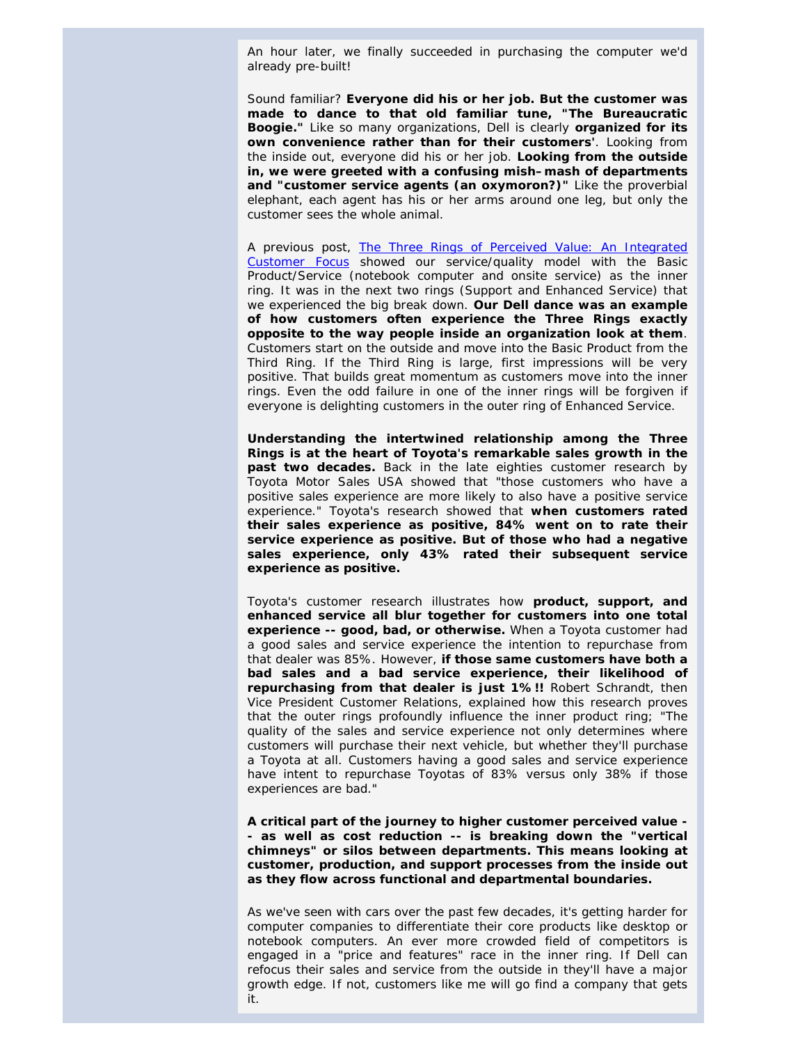An hour later, we finally succeeded in purchasing the computer we'd already pre-built!

Sound familiar? **Everyone did his or her job. But the customer was made to dance to that old familiar tune, "The Bureaucratic Boogie."** Like so many organizations, Dell is clearly **organized for its own convenience rather than for their customers'**. Looking from the inside out, everyone did his or her job. **Looking from the outside in, we were greeted with a confusing mish–mash of departments and "customer service agents (an oxymoron?)"** Like the proverbial elephant, each agent has his or her arms around one leg, but only the customer sees the whole animal.

A previous post, [The Three Rings of Perceived Value: An Integrated](http://www.jimclemmer.com/blog/2011/04/12/the-three-rings-of-perceived-value-an-integrated-customer-focus/)  [Customer Focus](http://www.jimclemmer.com/blog/2011/04/12/the-three-rings-of-perceived-value-an-integrated-customer-focus/) showed our service/quality model with the Basic Product/Service (notebook computer and onsite service) as the inner ring. It was in the next two rings (Support and Enhanced Service) that we experienced the big break down. **Our Dell dance was an example of how customers often experience the Three Rings exactly opposite to the way people inside an organization look at them**. Customers start on the outside and move into the Basic Product from the Third Ring. If the Third Ring is large, first impressions will be very positive. That builds great momentum as customers move into the inner rings. Even the odd failure in one of the inner rings will be forgiven if everyone is delighting customers in the outer ring of Enhanced Service.

**Understanding the intertwined relationship among the Three Rings is at the heart of Toyota's remarkable sales growth in the past two decades.** Back in the late eighties customer research by Toyota Motor Sales USA showed that "those customers who have a positive sales experience are more likely to also have a positive service experience." Toyota's research showed that **when customers rated their sales experience as positive, 84% went on to rate their service experience as positive. But of those who had a negative sales experience, only 43% rated their subsequent service experience as positive.**

Toyota's customer research illustrates how **product, support, and enhanced service all blur together for customers into one total experience -- good, bad, or otherwise.** When a Toyota customer had a good sales and service experience the intention to repurchase from that dealer was 85%. However, **if those same customers have both a bad sales and a bad service experience, their likelihood of repurchasing from that dealer is just 1%!!** Robert Schrandt, then Vice President Customer Relations, explained how this research proves that the outer rings profoundly influence the inner product ring; "The quality of the sales and service experience not only determines where customers will purchase their next vehicle, but whether they'll purchase a Toyota at all. Customers having a good sales and service experience have intent to repurchase Toyotas of 83% versus only 38% if those experiences are bad."

**A critical part of the journey to higher customer perceived value - - as well as cost reduction -- is breaking down the "vertical chimneys" or silos between departments. This means looking at customer, production, and support processes from the inside out as they flow across functional and departmental boundaries.**

As we've seen with cars over the past few decades, it's getting harder for computer companies to differentiate their core products like desktop or notebook computers. An ever more crowded field of competitors is engaged in a "price and features" race in the inner ring. If Dell can refocus their sales and service from the outside in they'll have a major growth edge. If not, customers like me will go find a company that gets it.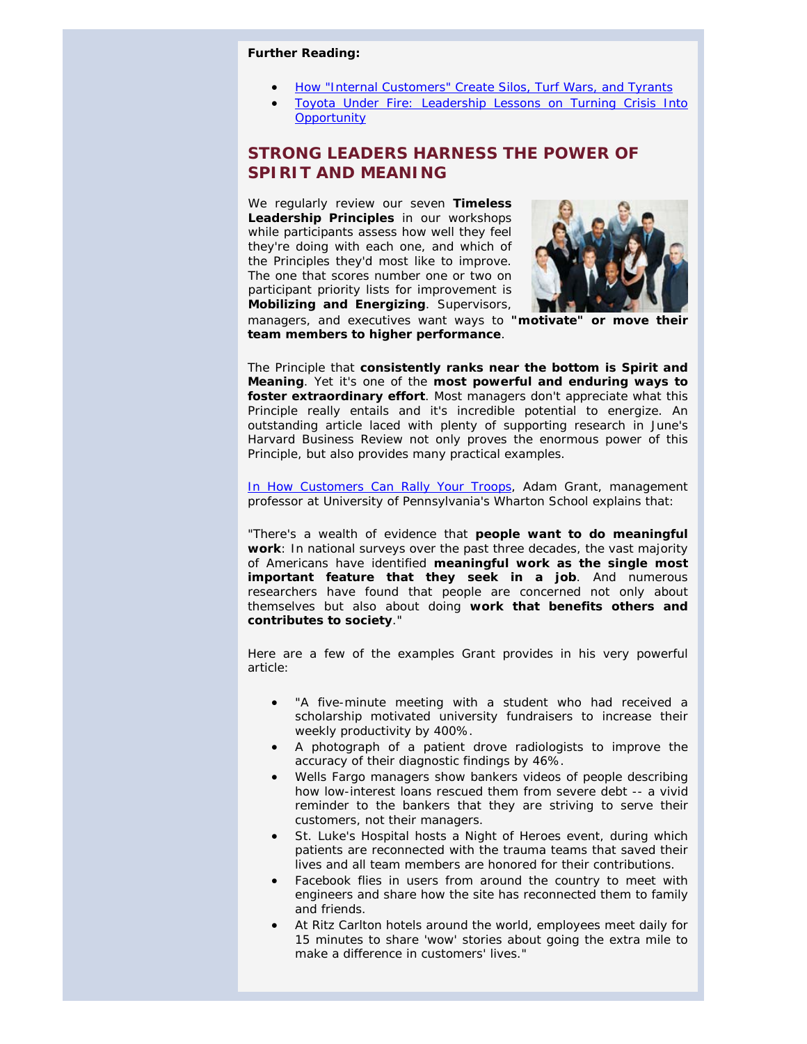#### <span id="page-10-0"></span>*Further Reading:*

- **[How "Internal Customers" Create Silos, Turf Wars, and Tyrants](http://www.jimclemmer.com/blog/2011/04/07/how-internal-customers-create-silos-turf-wars-and-tyrants/)**
- [Toyota Under Fire: Leadership Lessons on Turning Crisis Into](http://www.jimclemmer.com/blog/2011/04/21/toyota-under-fire-leadership-lessons-on-turning-crisis/)  **[Opportunity](http://www.jimclemmer.com/blog/2011/04/21/toyota-under-fire-leadership-lessons-on-turning-crisis/)**

# **STRONG LEADERS HARNESS THE POWER OF SPIRIT AND MEANING**

We regularly review our seven **Timeless Leadership Principles** in our workshops while participants assess how well they feel they're doing with each one, and which of the Principles they'd most like to improve. The one that scores number one or two on participant priority lists for improvement is **Mobilizing and Energizing**. Supervisors,



managers, and executives want ways to **"motivate" or move their team members to higher performance**. 

The Principle that **consistently ranks near the bottom is Spirit and Meaning**. Yet it's one of the **most powerful and enduring ways to foster extraordinary effort**. Most managers don't appreciate what this Principle really entails and it's incredible potential to energize. An outstanding article laced with plenty of supporting research in June's *Harvard Business Review* not only proves the enormous power of this Principle, but also provides many practical examples.

[In How Customers Can Rally Your Troops,](http://hbr.org/2011/06/how-customers-can-rally-your-troops/ar/1) Adam Grant, management professor at University of Pennsylvania's Wharton School explains that:

"There's a wealth of evidence that **people want to do meaningful work**: In national surveys over the past three decades, the vast majority of Americans have identified **meaningful work as the single most important feature that they seek in a job**. And numerous researchers have found that people are concerned not only about themselves but also about doing **work that benefits others and contributes to society**."

Here are a few of the examples Grant provides in his very powerful article:

- "A five-minute meeting with a student who had received a scholarship motivated university fundraisers to increase their weekly productivity by 400%.
- A photograph of a patient drove radiologists to improve the accuracy of their diagnostic findings by 46%.
- Wells Fargo managers show bankers videos of people describing how low-interest loans rescued them from severe debt -- a vivid reminder to the bankers that they are striving to serve their customers, not their managers.
- St. Luke's Hospital hosts a Night of Heroes event, during which patients are reconnected with the trauma teams that saved their lives and all team members are honored for their contributions.
- Facebook flies in users from around the country to meet with engineers and share how the site has reconnected them to family and friends.
- At Ritz Carlton hotels around the world, employees meet daily for 15 minutes to share 'wow' stories about going the extra mile to make a difference in customers' lives."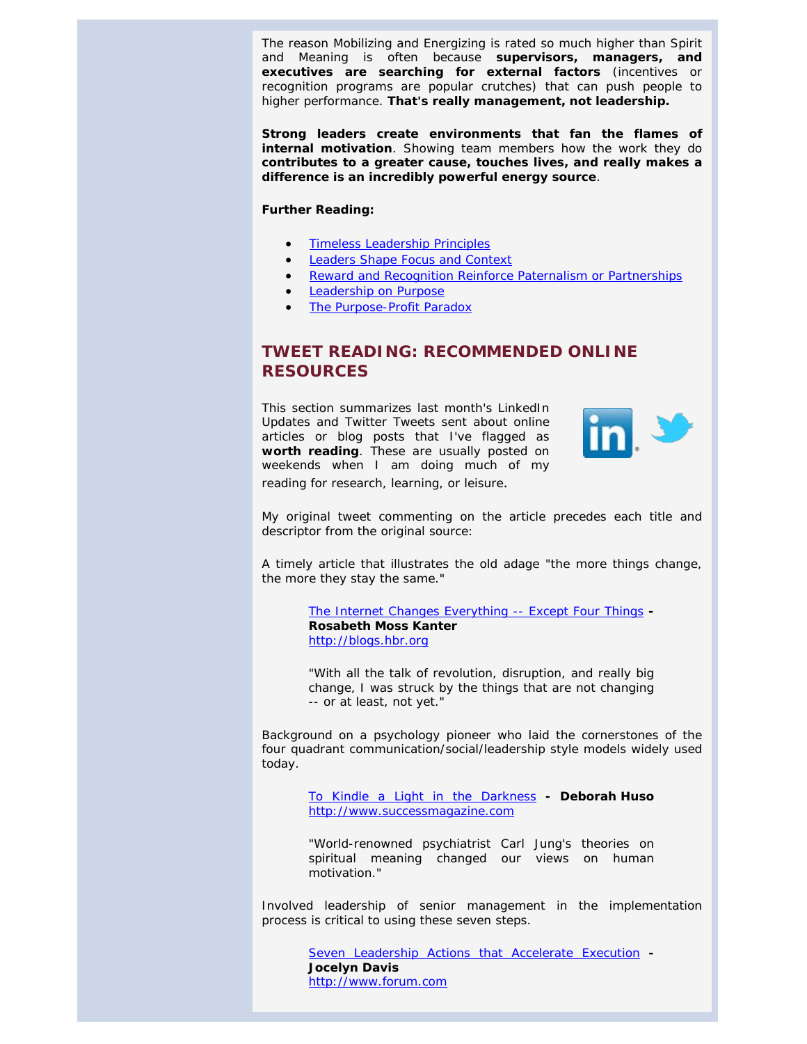The reason Mobilizing and Energizing is rated so much higher than Spirit and Meaning is often because **supervisors, managers, and executives are searching for external factors** (incentives or recognition programs are popular crutches) that can push people to higher performance. **That's really management, not leadership.** 

**Strong leaders create environments that fan the flames of internal motivation**. Showing team members how the work they do **contributes to a greater cause, touches lives, and really makes a difference is an incredibly powerful energy source**.

#### <span id="page-11-0"></span>*Further Reading:*

- [Timeless Leadership Principles](http://www.jimclemmer.com/timeless-leadership-principles.php)
- [Leaders Shape Focus and Context](http://www.jimclemmer.com/leaders-shape-focus-and-context.php)
- [Reward and Recognition Reinforce Paternalism or Partnerships](http://www.jimclemmer.com/reward-and-recognition-reinforce-paternalism-or-partnerships.php)
- [Leadership on Purpose](http://www.jimclemmer.com/leadership-on-purpose.php)
- [The Purpose-Profit Paradox](http://www.jimclemmer.com/the-purpose-profit-paradox.php)

## **TWEET READING: RECOMMENDED ONLINE RESOURCES**

This section summarizes last month's LinkedIn Updates and Twitter Tweets sent about online articles or blog posts that I've flagged as **worth reading**. These are usually posted on weekends when I am doing much of my reading for research, learning, or leisure.



My original tweet commenting on the article precedes each title and descriptor from the original source:

A timely article that illustrates the old adage "the more things change, the more they stay the same."

> [The Internet Changes Everything --](http://blogs.hbr.org/kanter/2011/05/the-internet-changes-everythin.html?referral=00563&cm_mmc=email-_-newsletter-_-daily_alert-_-alert_date&utm_source=newsletter_daily_alert&utm_medium=email&utm_campaign=alert_date) Except Four Things **- Rosabeth Moss Kanter** [http://blogs.hbr.org](http://blogs.hbr.org/)

> *"With all the talk of revolution, disruption, and really big change, I was struck by the things that are not changing -- or at least, not yet."*

Background on a psychology pioneer who laid the cornerstones of the four quadrant communication/social/leadership style models widely used today.

> [To Kindle a Light in the Darkness](http://www.successmagazine.com/to-kindle-a-light-in-the-darkness/PARAMS/article/1397/channel/22) **- Deborah Huso** [http://www.successmagazine.com](http://www.successmagazine.com/)

> *"World-renowned psychiatrist Carl Jung's theories on spiritual meaning changed our views on human motivation."*

Involved leadership of senior management in the implementation process is critical to using these seven steps.

> [Seven Leadership Actions that Accelerate Execution](http://www.forum.com/blog/seven-leadership-actions-that-accelerate-execution/?utm_source=feedburner&utm_medium=feed&utm_campaign=Feed%3A+forumcorp+%28ForumCorp%27s+Blog%29) **- Jocelyn Davis** [http://www.forum.com](http://www.forum.com/)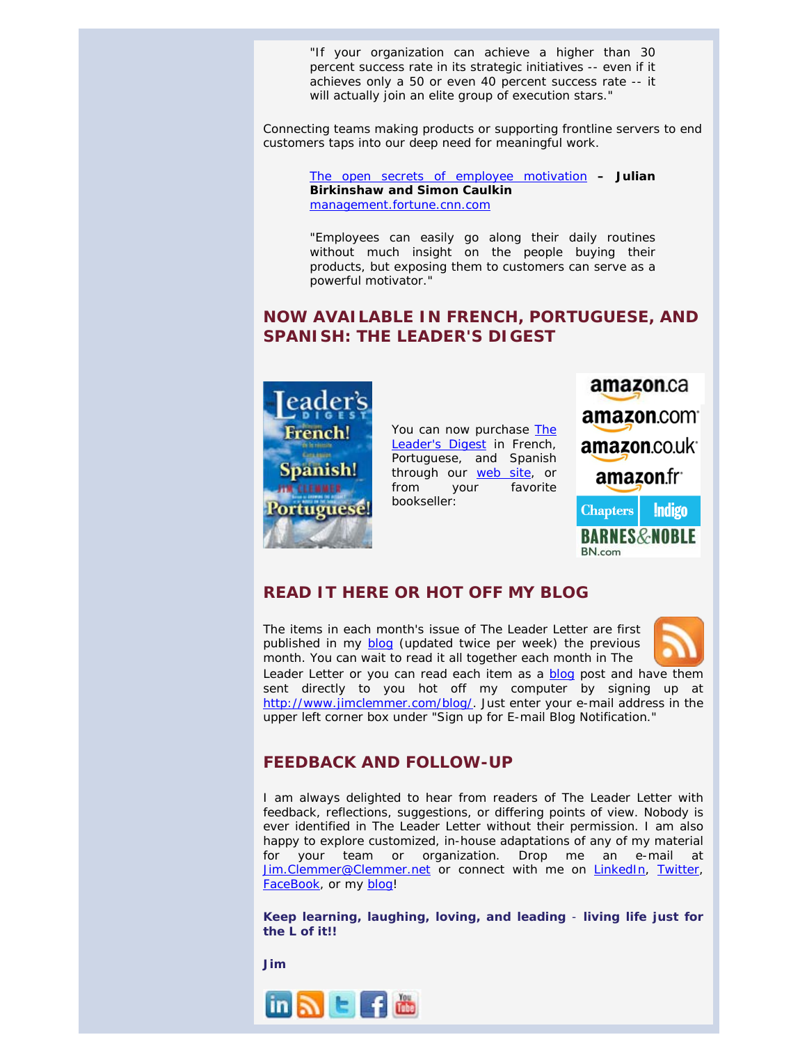*"If your organization can achieve a higher than 30 percent success rate in its strategic initiatives -- even if it achieves only a 50 or even 40 percent success rate -- it will actually join an elite group of execution stars."*

Connecting teams making products or supporting frontline servers to end customers taps into our deep need for meaningful work.

> [The open secrets of employee motivation](http://management.fortune.cnn.com/2011/06/14/the-open-secrets-of-employee-motivation/) **– Julian Birkinshaw and Simon Caulkin**  [management.fortune.cnn.com](http://management.fortune.cnn.com/)

> *"Employees can easily go along their daily routines without much insight on the people buying their products, but exposing them to customers can serve as a powerful motivator."*

## <span id="page-12-0"></span>**NOW AVAILABLE IN FRENCH, PORTUGUESE, AND SPANISH:** *THE LEADER'S DIGEST*

<span id="page-12-1"></span>

You can now purchase *[The](http://jimclemmer.com/books/the_leaders_digest_timeless_principles_for_team_and_organization_success.php)  [Leader's Digest](http://jimclemmer.com/books/the_leaders_digest_timeless_principles_for_team_and_organization_success.php)* in French, Portuguese, and Spanish through our [web site,](http://www.jimclemmer.com/online-book-store-audio-leadership-books-leadership-management-time-management.php) or from your favorite bookseller:



#### **READ IT HERE OR HOT OFF MY BLOG**

<span id="page-12-2"></span>The items in each month's issue of *The Leader Letter* are first published in my [blog](http://jimclemmer.com/blog) (updated twice per week) the previous month. You can wait to read it all together each month in *The*



Leader Letter or you can read each item as a **blog** post and have them sent directly to you hot off my computer by signing up at [http://www.jimclemmer.com/blog/.](http://www.jimclemmer.com/blog/) Just enter your e-mail address in the upper left corner box under "Sign up for E-mail Blog Notification."

#### **FEEDBACK AND FOLLOW-UP**

I am always delighted to hear from readers of *The Leader Letter* with feedback, reflections, suggestions, or differing points of view. Nobody is ever identified in *The Leader Letter* without their permission. I am also happy to explore customized, in-house adaptations of any of my material for your team or organization. Drop me an e-mail at [Jim.Clemmer@Clemmer.net](mailto:Jim.Clemmer@Clemmer.net) or connect with me on [LinkedIn,](http://www.linkedin.com/in/jimclemmer) [Twitter,](http://twitter.com/#%21/JimClemmer) [FaceBook,](http://www.facebook.com/ClemmerGroup) or my [blog!](http://www.jimclemmer.com/blog/)

**Keep learning, laughing, loving, and leading** - **living life just for the L of it!!**

**Jim**